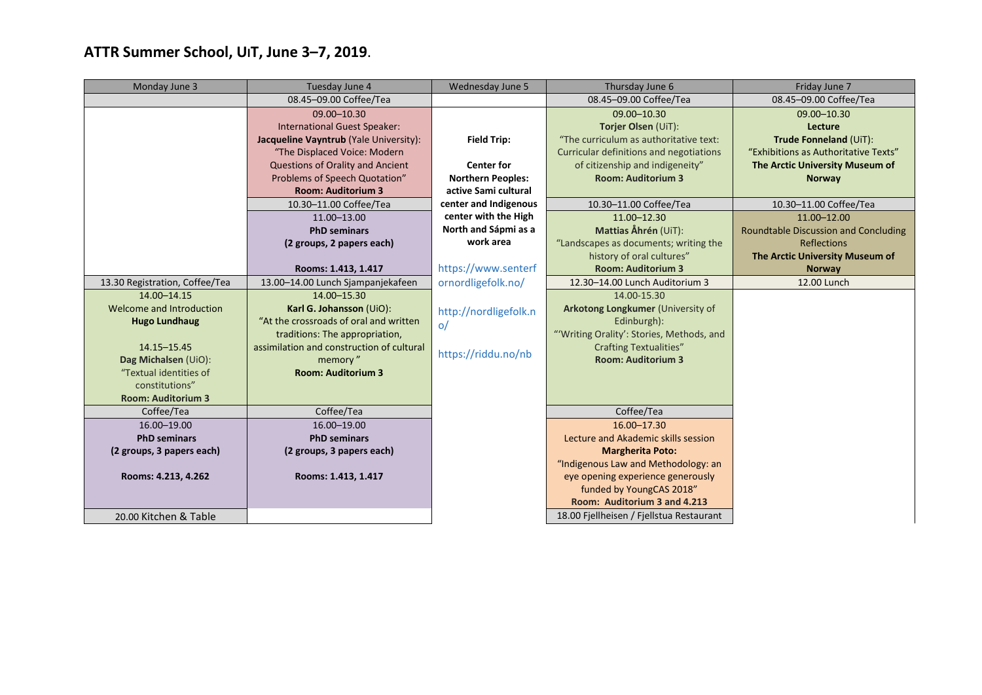## **ATTR Summer School, UIT, June 3–7, 2019**.

| Monday June 3                  | Tuesday June 4                            | Wednesday June 5         | Thursday June 6                           | Friday June 7                               |
|--------------------------------|-------------------------------------------|--------------------------|-------------------------------------------|---------------------------------------------|
|                                | 08.45-09.00 Coffee/Tea                    |                          | 08.45-09.00 Coffee/Tea                    | 08.45-09.00 Coffee/Tea                      |
|                                | 09.00-10.30                               |                          | 09.00-10.30                               | 09.00-10.30                                 |
|                                | <b>International Guest Speaker:</b>       |                          | Torjer Olsen (UiT):                       | Lecture                                     |
|                                | Jacqueline Vayntrub (Yale University):    | <b>Field Trip:</b>       | "The curriculum as authoritative text:    | Trude Fonneland (UiT):                      |
|                                | "The Displaced Voice: Modern              |                          | Curricular definitions and negotiations   | "Exhibitions as Authoritative Texts"        |
|                                | Questions of Orality and Ancient          | <b>Center for</b>        | of citizenship and indigeneity"           | The Arctic University Museum of             |
|                                | Problems of Speech Quotation"             | <b>Northern Peoples:</b> | <b>Room: Auditorium 3</b>                 | <b>Norway</b>                               |
|                                | <b>Room: Auditorium 3</b>                 | active Sami cultural     |                                           |                                             |
|                                | 10.30-11.00 Coffee/Tea                    | center and Indigenous    | 10.30-11.00 Coffee/Tea                    | 10.30-11.00 Coffee/Tea                      |
|                                | 11.00-13.00                               | center with the High     | 11.00-12.30                               | 11.00-12.00                                 |
|                                | <b>PhD seminars</b>                       | North and Sápmi as a     | Mattias Åhrén (UiT):                      | <b>Roundtable Discussion and Concluding</b> |
|                                | (2 groups, 2 papers each)                 | work area                | "Landscapes as documents; writing the     | <b>Reflections</b>                          |
|                                |                                           |                          | history of oral cultures"                 | The Arctic University Museum of             |
|                                | Rooms: 1.413, 1.417                       | https://www.senterf      | <b>Room: Auditorium 3</b>                 | <b>Norway</b>                               |
| 13.30 Registration, Coffee/Tea | 13.00-14.00 Lunch Sjampanjekafeen         | ornordligefolk.no/       | 12.30-14.00 Lunch Auditorium 3            | 12.00 Lunch                                 |
| 14.00-14.15                    | 14.00-15.30                               |                          | 14.00-15.30                               |                                             |
| Welcome and Introduction       | Karl G. Johansson (UiO):                  | http://nordligefolk.n    | Arkotong Longkumer (University of         |                                             |
| <b>Hugo Lundhaug</b>           | "At the crossroads of oral and written    | $\circ/$                 | Edinburgh):                               |                                             |
|                                | traditions: The appropriation,            |                          | "'Writing Orality': Stories, Methods, and |                                             |
| 14.15-15.45                    | assimilation and construction of cultural | https://riddu.no/nb      | <b>Crafting Textualities"</b>             |                                             |
| Dag Michalsen (UiO):           | memory"                                   |                          | <b>Room: Auditorium 3</b>                 |                                             |
| "Textual identities of         | <b>Room: Auditorium 3</b>                 |                          |                                           |                                             |
| constitutions"                 |                                           |                          |                                           |                                             |
| <b>Room: Auditorium 3</b>      |                                           |                          |                                           |                                             |
| Coffee/Tea                     | Coffee/Tea                                |                          | Coffee/Tea                                |                                             |
| 16.00-19.00                    | 16.00-19.00                               |                          | 16.00-17.30                               |                                             |
| <b>PhD seminars</b>            | <b>PhD seminars</b>                       |                          | Lecture and Akademic skills session       |                                             |
| (2 groups, 3 papers each)      | (2 groups, 3 papers each)                 |                          | <b>Margherita Poto:</b>                   |                                             |
|                                |                                           |                          | "Indigenous Law and Methodology: an       |                                             |
| Rooms: 4.213, 4.262            | Rooms: 1.413, 1.417                       |                          | eye opening experience generously         |                                             |
|                                |                                           |                          | funded by YoungCAS 2018"                  |                                             |
|                                |                                           |                          | Room: Auditorium 3 and 4.213              |                                             |
| 20.00 Kitchen & Table          |                                           |                          | 18.00 Fjellheisen / Fjellstua Restaurant  |                                             |